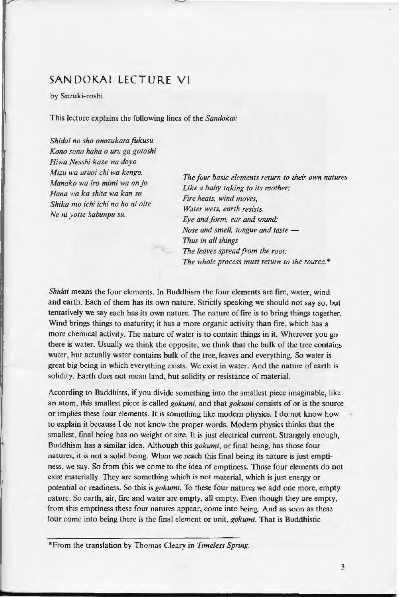## SANDOKAI LECTURE VI

by Suzuki-roshi

This lecture explains the following lines of the *Sandokai:* 

*Shidai no sho onozukarafukusu Kono sono haha o uru ga gotoshi Hiwa Nesshi kaze wa doyo Mizu wa uruoi chi wa kengo. Manako wa iro mimi wa on jo Hana wa ka shita wa kan so Shika mo ichi ichi no ho ni oite Ne ni yofle habunpu su.* 

*The four basic elements return to their own natures Like a baby taking to its mother; Fire heats, wind moves, Water wets, earth resists. Eye and form. ear and sound; Nose and smell, tongue and taste -Thus in all things The leaves spread from the root; The whole process must return to the source.•* 

*Shidai* means the four elements. In Buddhism the four elements are fire, water, wind and earth. Each of them has its own nature. Strictly speaking we should not say so, but tentatively we say each has its own nature. The nature of fire is to bring things together. Wind brings things to maturity; it has a more organic activity than fire, which has a more chemical activity. The nature of water is to contain things in it. Wherever you go there is water. Usually we think the opposite, we think that the bulk of the tree contains water, but actually water contains bulk of the tree, leaves and everything. So water is great big being in which everything exists. We exist in water. And the nature of earth is solidity. Earth does not mean land, but solidity or resistance of material.

According to Buddhists, if you divide something into the smallest piece imaginable, like an atom, this smallest piece is called *gokumi,* and that *gokumi* consists of or is the source or implies these four elements. It is something like modern physics. l do not know how to explain it because l do not know the proper words. Modern physics thinks that the smallest, final being has no weight or size. It is just electrical current. Strangely enough, Buddhism has a similar idea. Although this *gokumi,* or final being, has those four natures, it is not a solid being. When we reach this final being its nature is just emptiness, we say. So from this we come to the idea of emptiness. Those four elements do not exist materially. They are something which is not material, which is just energy or potential or readiness. So this is *gokumi.* To these four natures we add one more, empty nature. So earth, air, fire and water are empty, all empty. Even though they are empty, from this emptiness these four natures appear, come into being. And as soon as these four come into being there is the final element or unit, *gokumi.* That is Buddhistic

\*From the translation by Thomas Cleary in *Timeless Spring.*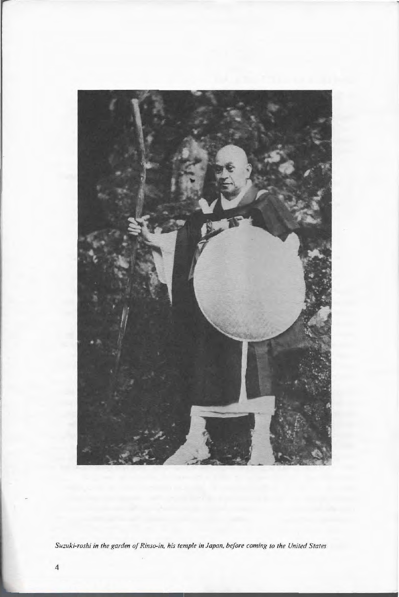

Suzuki-roshi in the garden of Rinso-in, his temple in Japan, before coming to the United States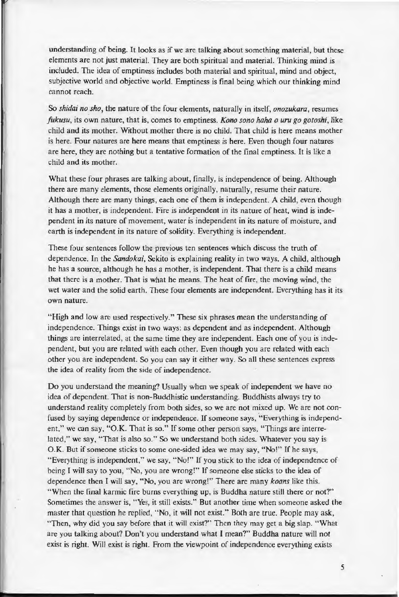understanding of being. It looks as if we are talking about something material, but these elements are not just material. They are both spiritual and material. Thinking mind is included. The idea of emptiness includes both material and spiritual, mind and object, subjective world and objective world. Emptiness is final being which our thinking mind cannot reach.

So *shidai no sho,* the nature of the four elements, naturally in itself, *onozukara,* resumes *fukusu,* its own nature, that is, comes to emptiness. *Kono sono hoha o uru go gotoshi,* like child and its mother. Without mother there is no child . That child is here means mother is here. Four natures are here means that emptiness is here. Even though four natures are here, they are nothing but a tentative formation of the final emptiness. It is like a child and its mother.

What these four phrases are talking about, finally, is independence of being. Although there are many elements, those elements originally, naturally, resume their nature. Although there are many things, each one of them is independent. A child, even though it has a mother, is independent. Fire is independent in its nature of heat, wind is independent in its nature of movement, water is independent in its nature of moisture, and earth is independent in its nature of solidity. Everything is independent.

These four sentences follow the previous ten sentences which discuss the truth of dependence. In the *Sandokai*, Sekito is explaining reality in two ways. A child, although he has a source, although he has a mother, is independent. That there is a child means that there is a mother. That is what he means. The heat of fire, the moving wind, the wet water and the solid earth. These four elements are independent. Everything has it its own nature.

"High and low are used respectively." These six phrases mean the understanding of independence. Things exist in two ways: as dependent and as independent. Although things are interrelated, at the same time they are independent. Each one of you is independent, but you are related with each other. Even though you are related with each other you are independent. So you can say it either way. So all these sentences express the idea of reality from the side of independence.

Do you understand the meaning? Usually when we speak of independent we have no idea of dependent. That is non-Buddhistic understanding. Buddhists always try to understand reality completely from both sides, so we are not mixed up. We are not confused by saying dependence or independence. If someone says, "Everything is independent," we can say, "O.K. That is so." If some other person says, "Things are interrelated," we say, "That is also so." So we understand both sides. Whatever you say is O.K. But if someone sticks to some one-sided idea we may say, "No!" If he says, "Everything is independent," we say, "No!" If you stick to the idea of independence of being I will say to you, "No, you are wrong!" If someone else sticks to the idea of dependence then I will say, "No, you are wrong!" There are many *koans* like this. "When the final karmic fire burns everything up, is Buddha nature still there or not?" Sometimes the answer is, "Yes, it still exists." But another time when someone asked the master that question he replied, "No, it will not exist." Both are true. People may ask, "Then, why did you say before that it will exist?" Then they may get a big slap. "What are you talking about? Don't you understand what I mean?" Buddha nature will not exist is right. Will exist is right. From the viewpoint of independence everything exists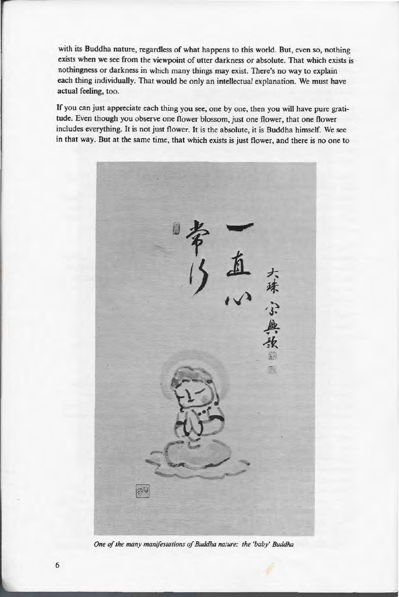with its Buddha nature, regardless of what happens to this world. But, even so, nothing exists when we see from the viewpoint of utter darkness or absolute. That which exists is nothingness or darkness in which many things may exist. There's no way to explain each thing individually. That would be only an intellectual explanation. We must have actual feeling, too.

If you can just appreciate each thing you see, one by one, then you will have pure gratitude. Even though you observe one flower blossom, just one flower, that one flower includes everything. It is not just flower. It is the absolute, it is Buddha himself. We see in that way. But at the same time, that which exists is just flower, and there is no one to



*One of the many manifestations of Buddha nature: the 'baby' Buddha*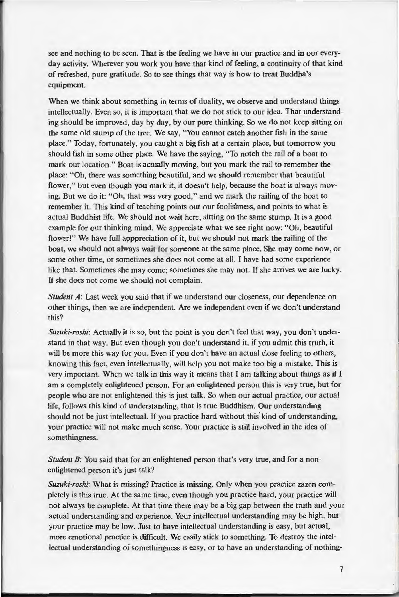see and nothing to be seen. That is the feeling we have in our practice and in our everyday activity. Wherever you work you have that kind of feeling, a continuity of that kind of refreshed, pure gratitude. So to see things that way is how to treat Buddha's equipment.

When we think about something in terms of duality, we observe and understand things intellectually. Even so, it is important that we do not stick to our idea. That understanding should be improved, day by day, by our pure thinking. So we do not keep sitting on the same old stump of the tree. We say, "You cannot catch another fish in the same place." Today, fortunately, you caught a big fish at a certain place, but tomorrow you should fish in some other place. We have the saying, "To notch the rail of a boat to mark our location." Boat is actually moving, but you mark the rail to remember the place: "Oh, there was something beautiful, and we should remember that beautiful flower," but even though you mark it, it doesn't help, because the boat is always moving. But we do it: "Oh, that was very good," and we mark the railing of the boat to remember it. This kind of teaching points out our foolishness, and points to what is actual Buddhist life. We should not wait here, sitting on the same stump. It is a good example for our thinking mind. We appreciate what we see right now: "Oh, beautiful flower!" We have full apppreciation of it, but we should not mark the railing of the boat, we should not always wait for someone at the same place. She may come now, or some other time, or sometimes she does not come at all. I have had some experience like that. Sometimes she may come; sometimes she may not. If she arrives we are lucky. If she does not come we should not complain.

*Student A*: Last week you said that if we understand our closeness, our dependence on other things, then we are independent. Are we independent even if we don't understand this?

*Suzuki-roshi:* Actually it is so, but the point is you don't feel that way, you don't understand in that way. But even though you don't understand it, if you admit this truth, it will be more this way for you. Even if you don't have an actual close feeling to others, knowing this fact, even intellectually, will help you not make too big a mistake. This is very important. When we talk in this way it means that I am talking about things as if I am a completely enlightened person. For an enlightened person this is very true, but for people who are not enlightened this is just talk. So when our actual practice, our actual life, follows this kind of understanding, that is true Buddhism. Our understanding should not be just intellectual. If you practice hard without this kind of understanding, your practice will not make much sense. Your practice is still involved in the idea of somethingness.

*Student B*: You said that for an enlightened person that's very true, and for a nonenlightened person it's just talk?

*Suzuki-roshi:* What is missing? Practice is missing. Only when you practice zazen completely is this true. At the same time, even though you practice hard, your practice will not always be complete. At that time there may be a big gap between the truth and your actual understanding and experience. Your intellectual understanding may be high, but your practice may be low. Just to have intellectual understanding is easy, but actual, more emotional practice is difficult. We easily stick to something. To destroy the intellectual understanding of somethingness is easy, or to have an understanding of nothing-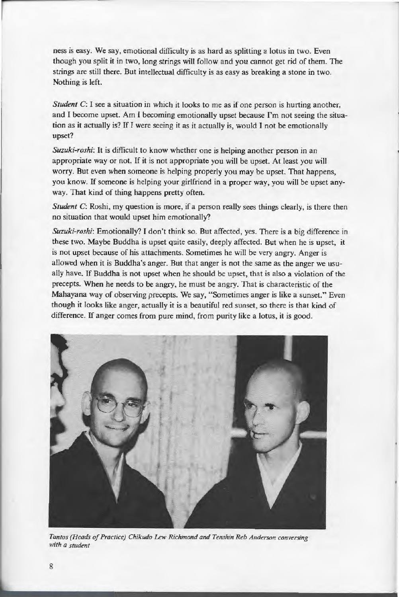ness is easy. We say, emotional difficulty is as hard as splitting a lotus in two. Even though you split it in two, long strings will follow and you cannot get rid of them. The strings are still there. But intellectual difficulty is as easy as breaking a stone in two. Nothing is left.

*Student C*: I see a situation in which it looks to me as if one person is hurting another, and I become upset. Am I becoming emotionally upset because I'm not seeing the situation as it actually is? If I were seeing it as it actually is, would I not be emotionally upset?

*Suzuki-roshi:* It is difficult to know whether one is helping another person in an appropriate way or not. If it is not appropriate you will be upset. At least you will worry. But even when someone is helping properly you may be upset. That happens, you know. If someone is helping your girlfriend in a proper way, you will be upset anyway. That kind of thing happens pretty often.

*Student C*: Roshi, my question is more, if a person really sees things clearly, is there then no situation that would upset him emotionally?

*Suzuki-roshi:* Emotionally? I don't think so. But affected, yes. There is a big difference in these two. Maybe Buddha is upset quite easily, deeply affected. But when he is upset, it is not upset because of his attachments. Sometimes he will be very angry. Anger is allowed when it is Buddha's anger. But that anger is not the same as the anger we usually have. If Buddha is not upset when he should be upset, that is also a violation of the precepts. When he needs to be angry, he must be angry. That is characteristic of the Mahayana way of observing precepts. We say, "Sometimes anger is like a sunset." Even though it looks like anger, actually it is a beautiful red sunset, so there is that kind of difference. If anger comes from pure mind, from purity like a lotus, it is good.



*Tantos (Heads of Practice) Chikudo Lew Richmond and Tenshin Reb Anderson conversing with a student* 

r